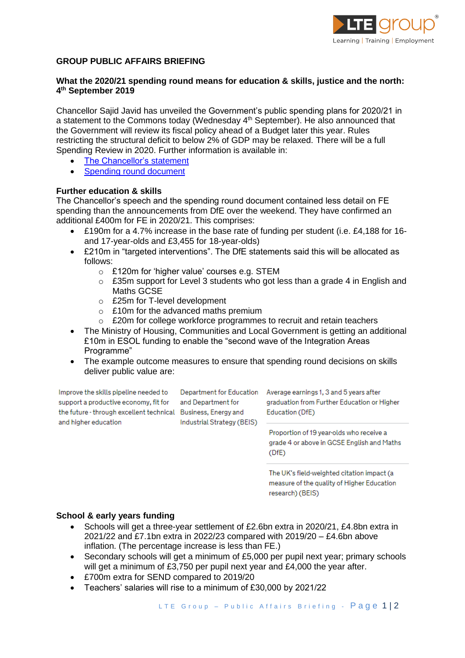

# **GROUP PUBLIC AFFAIRS BRIEFING**

# **What the 2020/21 spending round means for education & skills, justice and the north: 4 th September 2019**

Chancellor Sajid Javid has unveiled the Government's public spending plans for 2020/21 in a statement to the Commons today (Wednesday  $4<sup>th</sup>$  September). He also announced that the Government will review its fiscal policy ahead of a Budget later this year. Rules restricting the structural deficit to below 2% of GDP may be relaxed. There will be a full Spending Review in 2020. Further information is available in:

- [The Chancellor's statement](https://www.gov.uk/government/speeches/spending-round-2019-sajid-javids-speech)
- [Spending round document](https://www.gov.uk/government/publications/spending-round-2019-document/spending-round-2019)

### **Further education & skills**

The Chancellor's speech and the spending round document contained less detail on FE spending than the announcements from DfE over the weekend. They have confirmed an additional £400m for FE in 2020/21. This comprises:

- £190m for a 4.7% increase in the base rate of funding per student (i.e. £4,188 for 16 and 17-year-olds and £3,455 for 18-year-olds)
- £210m in "targeted interventions". The DfE statements said this will be allocated as follows:
	- o £120m for 'higher value' courses e.g. STEM
	- o £35m support for Level 3 students who got less than a grade 4 in English and Maths GCSE
	- o £25m for T-level development
	- o £10m for the advanced maths premium
	- $\circ$  £20m for college workforce programmes to recruit and retain teachers
- The Ministry of Housing, Communities and Local Government is getting an additional £10m in ESOL funding to enable the "second wave of the Integration Areas Programme"
- The example outcome measures to ensure that spending round decisions on skills deliver public value are:

Improve the skills pipeline needed to support a productive economy, fit for the future - through excellent technical Business, Energy and and higher education

and Department for Industrial Strategy (BEIS)

Department for Education Average earnings 1, 3 and 5 years after graduation from Further Education or Higher Education (DfE)

> Proportion of 19 year-olds who receive a grade 4 or above in GCSE English and Maths  $(DFE)$

The UK's field-weighted citation impact (a measure of the quality of Higher Education research) (BEIS)

#### **School & early years funding**

- Schools will get a three-year settlement of £2.6bn extra in 2020/21, £4.8bn extra in 2021/22 and £7.1bn extra in 2022/23 compared with 2019/20 – £4.6bn above inflation. (The percentage increase is less than FE.)
- Secondary schools will get a minimum of £5,000 per pupil next year; primary schools will get a minimum of £3,750 per pupil next year and £4,000 the year after.
- £700m extra for SEND compared to 2019/20
- Teachers' salaries will rise to a minimum of £30,000 by 2021/22